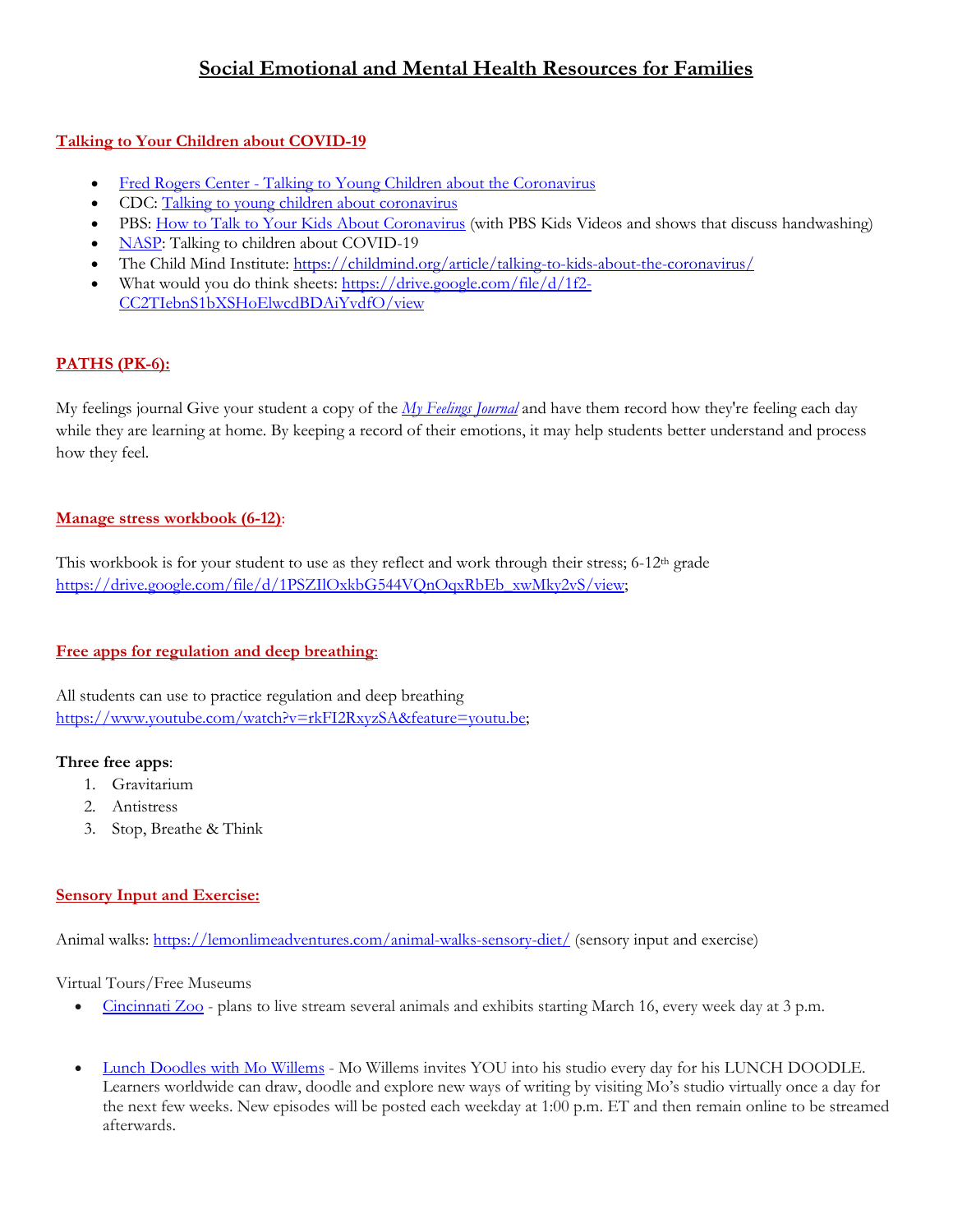# **Social Emotional and Mental Health Resources for Families**

## **Talking to Your Children about COVID-19**

- Fred Rogers Center [Talking to Young Children about the Coronavirus](https://www.fredrogerscenter.org/what-we-do/child-wellness/coronavirus-response)
- CDC: [Talking to young children about coronavirus](https://www.cdc.gov/coronavirus/2019-ncov/community/schools-childcare/talking-with-children.html)
- PBS: [How to Talk to Your Kids About Coronavirus](https://www.pbs.org/parents/thrive/how-to-talk-to-your-kids-about-coronavirus) (with PBS Kids Videos and shows that discuss handwashing)
- [NASP:](https://www.nasponline.org/resources-and-publications/resources-and-podcasts/school-climate-safety-and-crisis/health-crisis-resources/talking-to-children-about-covid-19-(coronavirus)-a-parent-resource) Talking to children about COVID-19
- The Child Mind Institute:<https://childmind.org/article/talking-to-kids-about-the-coronavirus/>
- What would you do think sheets:  $\frac{https://drive.google.com/file/d/1f2-}$ [CC2TIebnS1bXSHoElwcdBDAiYvdfO/view](https://drive.google.com/file/d/1f2-CC2TIebnS1bXSHoElwcdBDAiYvdfO/view)

# **PATHS (PK-6):**

My feelings journal Give your student a copy of the *[My Feelings Journal](https://email.pathsprogram.com/e2t/c/*W13-mCk5TGfX_W2F19_750WXFm0/*W7hzFWm6-5PG0W374fxr9lvTmc0/5/f18dQhb0Sq5x8Y9Xq0W8k8W4X1k63-nW1Dq0bW7x3ptPW6Dk5Tq1SrC8dVLDpF18B-Wz0VZ6Q4W1p7ybxW5yLrhL5wMw-5W3TJNmM8qlX8YW64zV8l6bMNlNW4sypRP96zRNmW50M-fs4tMyc4Vb9-h461SSZmW7mG7sD51vX4yN6HC1KycPtNwW6c-1px50Cxp7W5CYK6t3Vpf37W2m003r6Gj8TSW6bVy-525cnVbW7NrMZs3ndqfPW5-QHFv3s1XjFN51GcRWzV2fGVYSX-57m_B1RW5c8d-S3785hLW7cMMgF3yz3-1W3tr9mZ96qLhBW4M6xqX6c6TTNW3rwXB89hNwPNW4KN1st8qrLMYW4D7zL462R_qKN7dQwFNRWH4XW7ZV55w7gF7v6W16WSTz3TJWZBV2kX4f1nvXwcW3h8yLC5CGK-9W9jfY7D49kJcmW4LN-Cy74jRWkW4M11334H_8kMW2MqBNP6zs675W1Rg-Ry2jZVbZW2WdRvZ2PYWMbW5bN2796qg29RW20RrDx85BcPjW48TsSN3YBJr5W8yZsDk8ml5JwN4sPSdgrLh9QVrHQsb15kG9L102)* and have them record how they're feeling each day while they are learning at home. By keeping a record of their emotions, it may help students better understand and process how they feel.

## **Manage stress workbook (6-12)**:

This workbook is for your student to use as they reflect and work through their stress; 6-12<sup>th</sup> grade [https://drive.google.com/file/d/1PSZIlOxkbG544VQnOqxRbEb\\_xwMky2vS/view;](https://drive.google.com/file/d/1PSZIlOxkbG544VQnOqxRbEb_xwMky2vS/view) 

# **Free apps for regulation and deep breathing**:

All students can use to practice regulation and deep breathing [https://www.youtube.com/watch?v=rkFI2RxyzSA&feature=youtu.be;](https://www.youtube.com/watch?v=rkFI2RxyzSA&feature=youtu.be)

### **Three free apps**:

- 1. Gravitarium
- 2. Antistress
- 3. Stop, Breathe & Think

# **Sensory Input and Exercise:**

Animal walks:<https://lemonlimeadventures.com/animal-walks-sensory-diet/> (sensory input and exercise)

### Virtual Tours/Free Museums

- [Cincinnati Zoo](http://cincinnatizoo.org/news-releases/cincinnati-zoo-is-bringing-the-zoo-to-you/) plans to live stream several animals and exhibits starting March 16, every week day at 3 p.m.
- [Lunch Doodles with Mo Willems](https://www.kennedy-center.org/education/mo-willems/?fbclid=IwAR3_RVRbAq8apvwdPTfiUQNknvjvvxhSnxsFuX959jB1wydgeqCGIS6bl50) Mo Willems invites YOU into his studio every day for his LUNCH DOODLE. Learners worldwide can draw, doodle and explore new ways of writing by visiting Mo's studio virtually once a day for the next few weeks. New episodes will be posted each weekday at 1:00 p.m. ET and then remain online to be streamed afterwards.